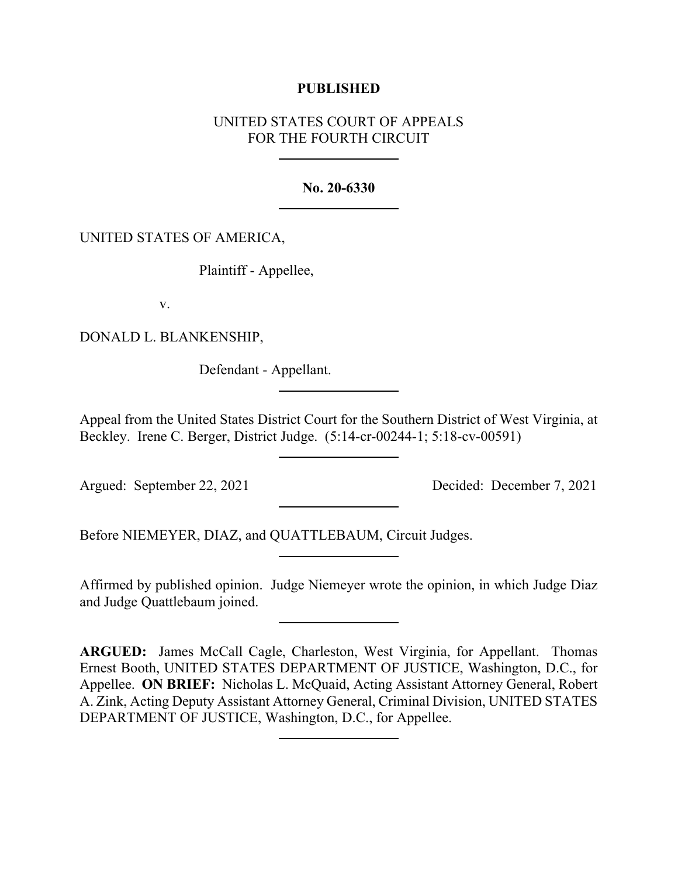### **PUBLISHED**

# UNITED STATES COURT OF APPEALS FOR THE FOURTH CIRCUIT

### **No. 20-6330**

## UNITED STATES OF AMERICA,

Plaintiff - Appellee,

v.

DONALD L. BLANKENSHIP,

Defendant - Appellant.

Appeal from the United States District Court for the Southern District of West Virginia, at Beckley. Irene C. Berger, District Judge. (5:14-cr-00244-1; 5:18-cv-00591)

Argued: September 22, 2021 Decided: December 7, 2021

Before NIEMEYER, DIAZ, and QUATTLEBAUM, Circuit Judges.

Affirmed by published opinion. Judge Niemeyer wrote the opinion, in which Judge Diaz and Judge Quattlebaum joined.

**ARGUED:** James McCall Cagle, Charleston, West Virginia, for Appellant. Thomas Ernest Booth, UNITED STATES DEPARTMENT OF JUSTICE, Washington, D.C., for Appellee. **ON BRIEF:** Nicholas L. McQuaid, Acting Assistant Attorney General, Robert A. Zink, Acting Deputy Assistant Attorney General, Criminal Division, UNITED STATES DEPARTMENT OF JUSTICE, Washington, D.C., for Appellee.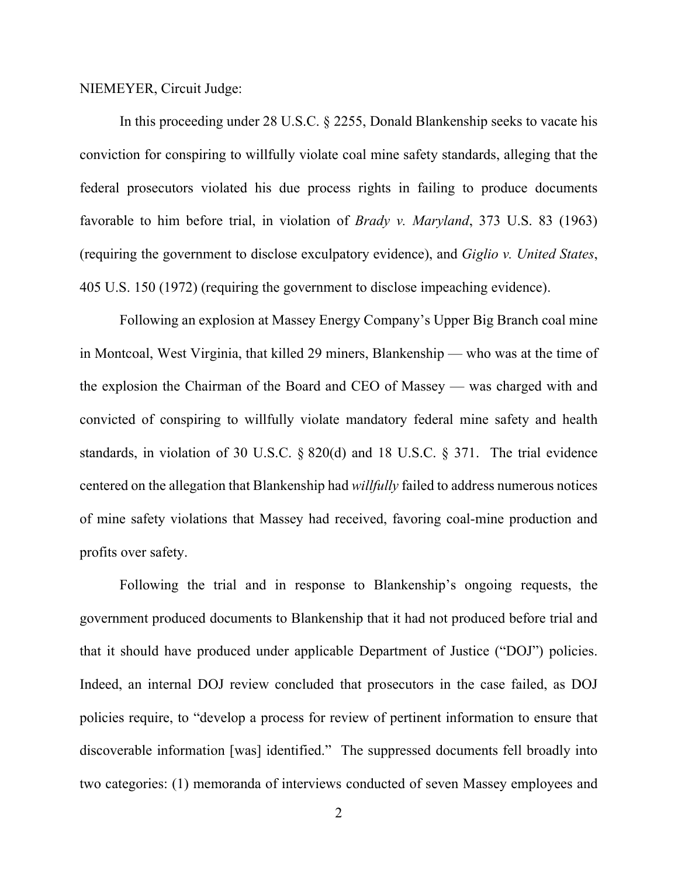#### NIEMEYER, Circuit Judge:

In this proceeding under 28 U.S.C. § 2255, Donald Blankenship seeks to vacate his conviction for conspiring to willfully violate coal mine safety standards, alleging that the federal prosecutors violated his due process rights in failing to produce documents favorable to him before trial, in violation of *Brady v. Maryland*, 373 U.S. 83 (1963) (requiring the government to disclose exculpatory evidence), and *Giglio v. United States*, 405 U.S. 150 (1972) (requiring the government to disclose impeaching evidence).

Following an explosion at Massey Energy Company's Upper Big Branch coal mine in Montcoal, West Virginia, that killed 29 miners, Blankenship — who was at the time of the explosion the Chairman of the Board and CEO of Massey — was charged with and convicted of conspiring to willfully violate mandatory federal mine safety and health standards, in violation of 30 U.S.C. § 820(d) and 18 U.S.C. § 371. The trial evidence centered on the allegation that Blankenship had *willfully* failed to address numerous notices of mine safety violations that Massey had received, favoring coal-mine production and profits over safety.

Following the trial and in response to Blankenship's ongoing requests, the government produced documents to Blankenship that it had not produced before trial and that it should have produced under applicable Department of Justice ("DOJ") policies. Indeed, an internal DOJ review concluded that prosecutors in the case failed, as DOJ policies require, to "develop a process for review of pertinent information to ensure that discoverable information [was] identified." The suppressed documents fell broadly into two categories: (1) memoranda of interviews conducted of seven Massey employees and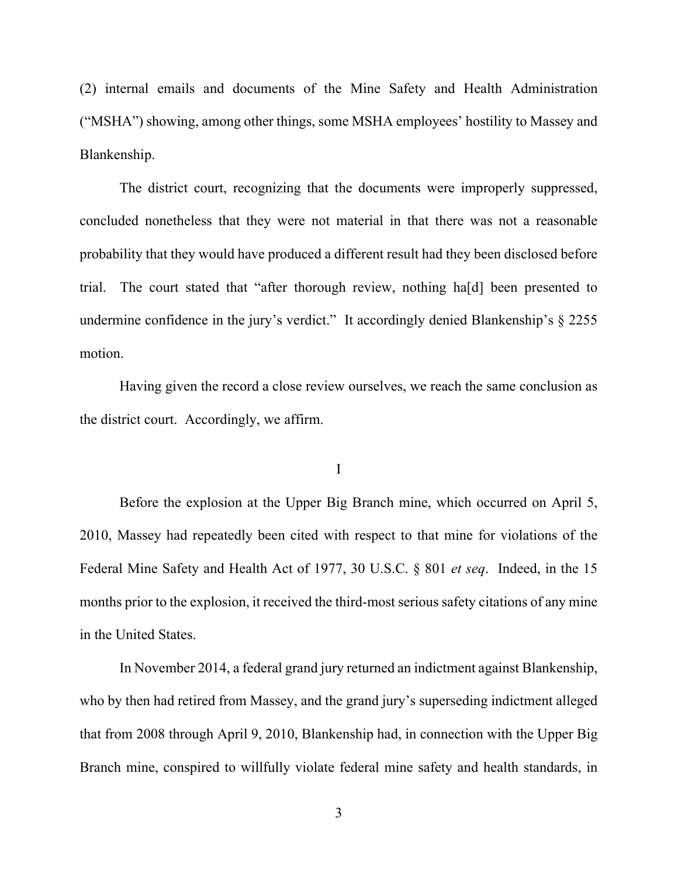(2) internal emails and documents of the Mine Safety and Health Administration ("MSHA") showing, among other things, some MSHA employees' hostility to Massey and Blankenship.

The district court, recognizing that the documents were improperly suppressed, concluded nonetheless that they were not material in that there was not a reasonable probability that they would have produced a different result had they been disclosed before trial. The court stated that "after thorough review, nothing ha[d] been presented to undermine confidence in the jury's verdict." It accordingly denied Blankenship's § 2255 motion.

Having given the record a close review ourselves, we reach the same conclusion as the district court. Accordingly, we affirm.

#### I

Before the explosion at the Upper Big Branch mine, which occurred on April 5, 2010, Massey had repeatedly been cited with respect to that mine for violations of the Federal Mine Safety and Health Act of 1977, 30 U.S.C. § 801 *et seq*. Indeed, in the 15 months prior to the explosion, it received the third-most serious safety citations of any mine in the United States.

In November 2014, a federal grand jury returned an indictment against Blankenship, who by then had retired from Massey, and the grand jury's superseding indictment alleged that from 2008 through April 9, 2010, Blankenship had, in connection with the Upper Big Branch mine, conspired to willfully violate federal mine safety and health standards, in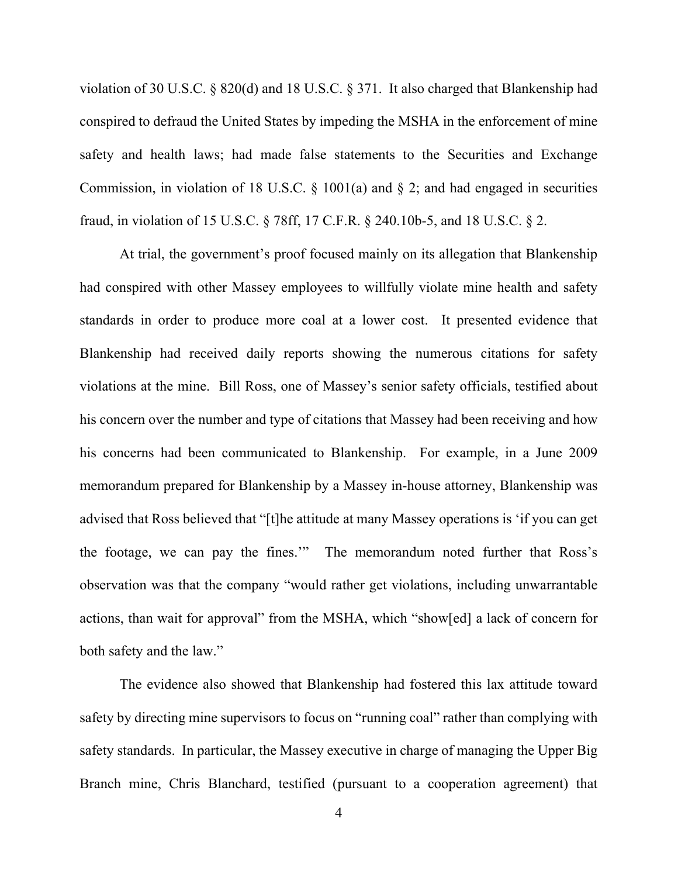violation of 30 U.S.C. § 820(d) and 18 U.S.C. § 371. It also charged that Blankenship had conspired to defraud the United States by impeding the MSHA in the enforcement of mine safety and health laws; had made false statements to the Securities and Exchange Commission, in violation of 18 U.S.C.  $\S$  1001(a) and  $\S$  2; and had engaged in securities fraud, in violation of 15 U.S.C. § 78ff, 17 C.F.R. § 240.10b-5, and 18 U.S.C. § 2.

At trial, the government's proof focused mainly on its allegation that Blankenship had conspired with other Massey employees to willfully violate mine health and safety standards in order to produce more coal at a lower cost. It presented evidence that Blankenship had received daily reports showing the numerous citations for safety violations at the mine. Bill Ross, one of Massey's senior safety officials, testified about his concern over the number and type of citations that Massey had been receiving and how his concerns had been communicated to Blankenship. For example, in a June 2009 memorandum prepared for Blankenship by a Massey in-house attorney, Blankenship was advised that Ross believed that "[t]he attitude at many Massey operations is 'if you can get the footage, we can pay the fines.'" The memorandum noted further that Ross's observation was that the company "would rather get violations, including unwarrantable actions, than wait for approval" from the MSHA, which "show[ed] a lack of concern for both safety and the law."

The evidence also showed that Blankenship had fostered this lax attitude toward safety by directing mine supervisors to focus on "running coal" rather than complying with safety standards. In particular, the Massey executive in charge of managing the Upper Big Branch mine, Chris Blanchard, testified (pursuant to a cooperation agreement) that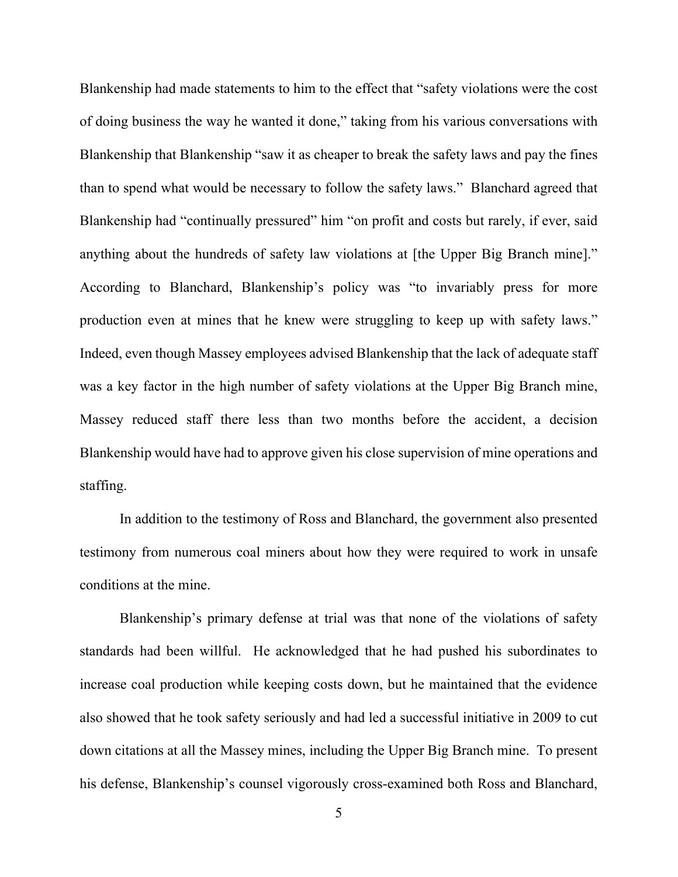Blankenship had made statements to him to the effect that "safety violations were the cost of doing business the way he wanted it done," taking from his various conversations with Blankenship that Blankenship "saw it as cheaper to break the safety laws and pay the fines than to spend what would be necessary to follow the safety laws." Blanchard agreed that Blankenship had "continually pressured" him "on profit and costs but rarely, if ever, said anything about the hundreds of safety law violations at [the Upper Big Branch mine]." According to Blanchard, Blankenship's policy was "to invariably press for more production even at mines that he knew were struggling to keep up with safety laws." Indeed, even though Massey employees advised Blankenship that the lack of adequate staff was a key factor in the high number of safety violations at the Upper Big Branch mine, Massey reduced staff there less than two months before the accident, a decision Blankenship would have had to approve given his close supervision of mine operations and staffing.

In addition to the testimony of Ross and Blanchard, the government also presented testimony from numerous coal miners about how they were required to work in unsafe conditions at the mine.

Blankenship's primary defense at trial was that none of the violations of safety standards had been willful. He acknowledged that he had pushed his subordinates to increase coal production while keeping costs down, but he maintained that the evidence also showed that he took safety seriously and had led a successful initiative in 2009 to cut down citations at all the Massey mines, including the Upper Big Branch mine. To present his defense, Blankenship's counsel vigorously cross-examined both Ross and Blanchard,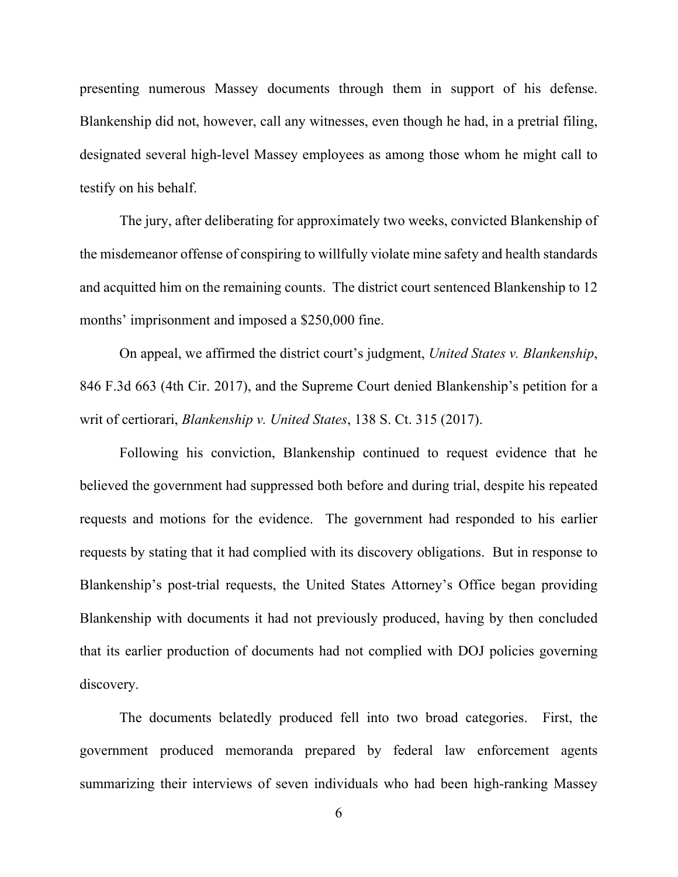presenting numerous Massey documents through them in support of his defense. Blankenship did not, however, call any witnesses, even though he had, in a pretrial filing, designated several high-level Massey employees as among those whom he might call to testify on his behalf.

The jury, after deliberating for approximately two weeks, convicted Blankenship of the misdemeanor offense of conspiring to willfully violate mine safety and health standards and acquitted him on the remaining counts. The district court sentenced Blankenship to 12 months' imprisonment and imposed a \$250,000 fine.

On appeal, we affirmed the district court's judgment, *United States v. Blankenship*, 846 F.3d 663 (4th Cir. 2017), and the Supreme Court denied Blankenship's petition for a writ of certiorari, *Blankenship v. United States*, 138 S. Ct. 315 (2017).

Following his conviction, Blankenship continued to request evidence that he believed the government had suppressed both before and during trial, despite his repeated requests and motions for the evidence. The government had responded to his earlier requests by stating that it had complied with its discovery obligations. But in response to Blankenship's post-trial requests, the United States Attorney's Office began providing Blankenship with documents it had not previously produced, having by then concluded that its earlier production of documents had not complied with DOJ policies governing discovery.

The documents belatedly produced fell into two broad categories. First, the government produced memoranda prepared by federal law enforcement agents summarizing their interviews of seven individuals who had been high-ranking Massey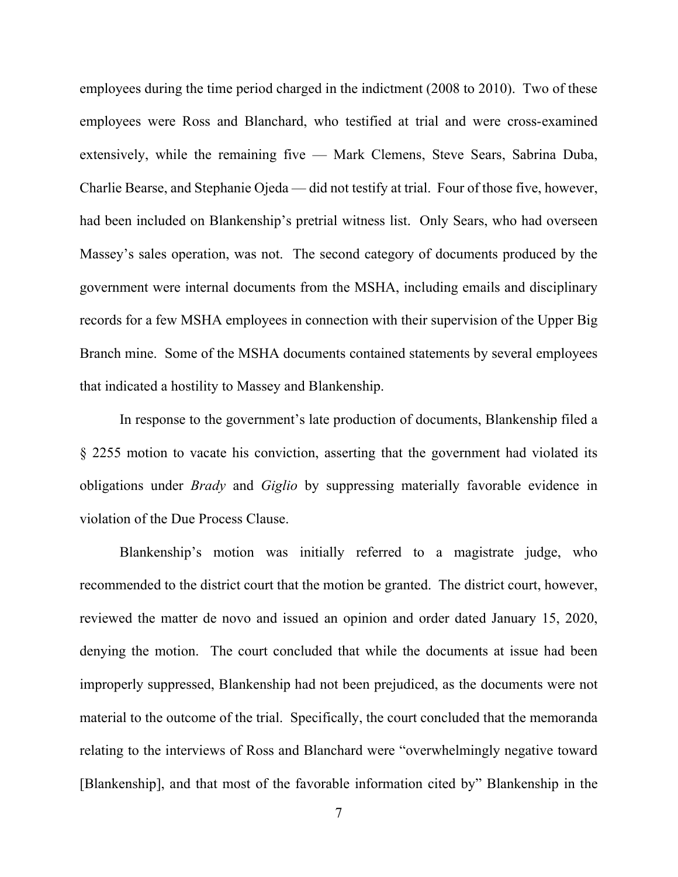employees during the time period charged in the indictment (2008 to 2010). Two of these employees were Ross and Blanchard, who testified at trial and were cross-examined extensively, while the remaining five — Mark Clemens, Steve Sears, Sabrina Duba, Charlie Bearse, and Stephanie Ojeda — did not testify at trial. Four of those five, however, had been included on Blankenship's pretrial witness list. Only Sears, who had overseen Massey's sales operation, was not. The second category of documents produced by the government were internal documents from the MSHA, including emails and disciplinary records for a few MSHA employees in connection with their supervision of the Upper Big Branch mine. Some of the MSHA documents contained statements by several employees that indicated a hostility to Massey and Blankenship.

In response to the government's late production of documents, Blankenship filed a § 2255 motion to vacate his conviction, asserting that the government had violated its obligations under *Brady* and *Giglio* by suppressing materially favorable evidence in violation of the Due Process Clause.

Blankenship's motion was initially referred to a magistrate judge, who recommended to the district court that the motion be granted. The district court, however, reviewed the matter de novo and issued an opinion and order dated January 15, 2020, denying the motion. The court concluded that while the documents at issue had been improperly suppressed, Blankenship had not been prejudiced, as the documents were not material to the outcome of the trial. Specifically, the court concluded that the memoranda relating to the interviews of Ross and Blanchard were "overwhelmingly negative toward [Blankenship], and that most of the favorable information cited by" Blankenship in the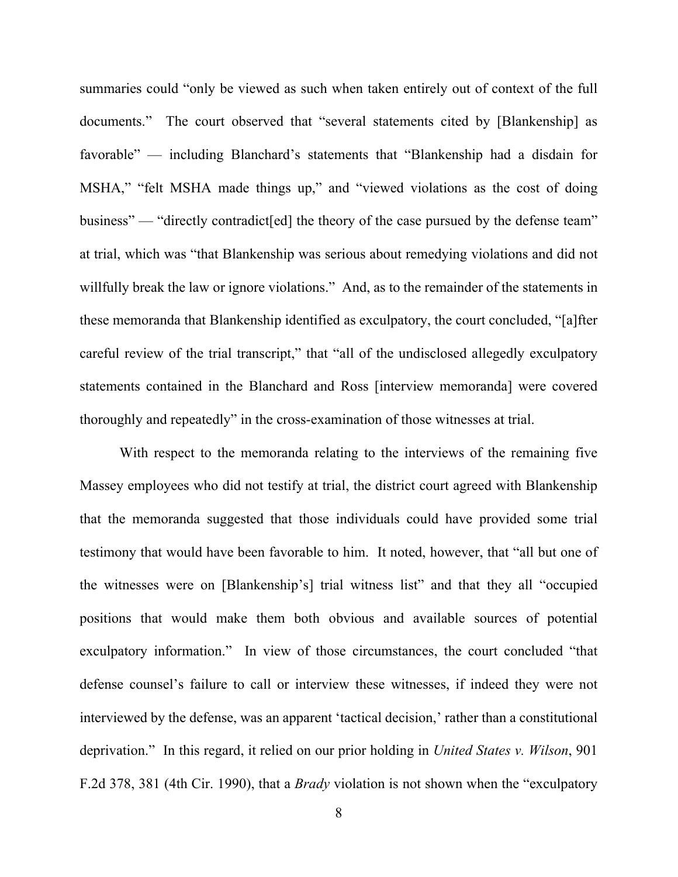summaries could "only be viewed as such when taken entirely out of context of the full documents." The court observed that "several statements cited by [Blankenship] as favorable" — including Blanchard's statements that "Blankenship had a disdain for MSHA," "felt MSHA made things up," and "viewed violations as the cost of doing business" — "directly contradict [ed] the theory of the case pursued by the defense team" at trial, which was "that Blankenship was serious about remedying violations and did not willfully break the law or ignore violations." And, as to the remainder of the statements in these memoranda that Blankenship identified as exculpatory, the court concluded, "[a]fter careful review of the trial transcript," that "all of the undisclosed allegedly exculpatory statements contained in the Blanchard and Ross [interview memoranda] were covered thoroughly and repeatedly" in the cross-examination of those witnesses at trial.

With respect to the memoranda relating to the interviews of the remaining five Massey employees who did not testify at trial, the district court agreed with Blankenship that the memoranda suggested that those individuals could have provided some trial testimony that would have been favorable to him. It noted, however, that "all but one of the witnesses were on [Blankenship's] trial witness list" and that they all "occupied positions that would make them both obvious and available sources of potential exculpatory information." In view of those circumstances, the court concluded "that defense counsel's failure to call or interview these witnesses, if indeed they were not interviewed by the defense, was an apparent 'tactical decision,' rather than a constitutional deprivation." In this regard, it relied on our prior holding in *United States v. Wilson*, 901 F.2d 378, 381 (4th Cir. 1990), that a *Brady* violation is not shown when the "exculpatory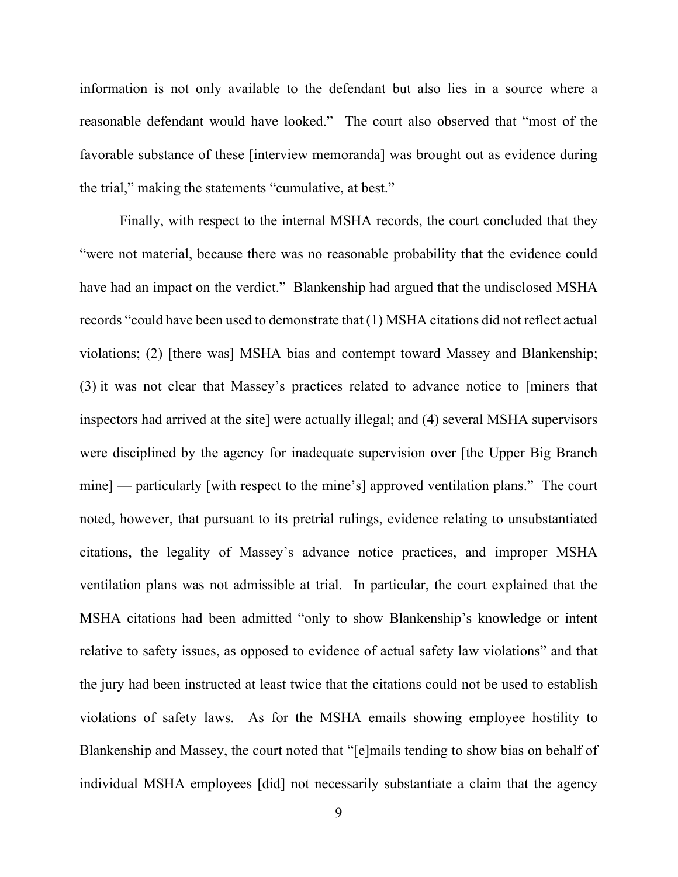information is not only available to the defendant but also lies in a source where a reasonable defendant would have looked." The court also observed that "most of the favorable substance of these [interview memoranda] was brought out as evidence during the trial," making the statements "cumulative, at best."

Finally, with respect to the internal MSHA records, the court concluded that they "were not material, because there was no reasonable probability that the evidence could have had an impact on the verdict." Blankenship had argued that the undisclosed MSHA records "could have been used to demonstrate that (1) MSHA citations did not reflect actual violations; (2) [there was] MSHA bias and contempt toward Massey and Blankenship; (3) it was not clear that Massey's practices related to advance notice to [miners that inspectors had arrived at the site] were actually illegal; and (4) several MSHA supervisors were disciplined by the agency for inadequate supervision over [the Upper Big Branch mine] — particularly [with respect to the mine's] approved ventilation plans." The court noted, however, that pursuant to its pretrial rulings, evidence relating to unsubstantiated citations, the legality of Massey's advance notice practices, and improper MSHA ventilation plans was not admissible at trial. In particular, the court explained that the MSHA citations had been admitted "only to show Blankenship's knowledge or intent relative to safety issues, as opposed to evidence of actual safety law violations" and that the jury had been instructed at least twice that the citations could not be used to establish violations of safety laws. As for the MSHA emails showing employee hostility to Blankenship and Massey, the court noted that "[e]mails tending to show bias on behalf of individual MSHA employees [did] not necessarily substantiate a claim that the agency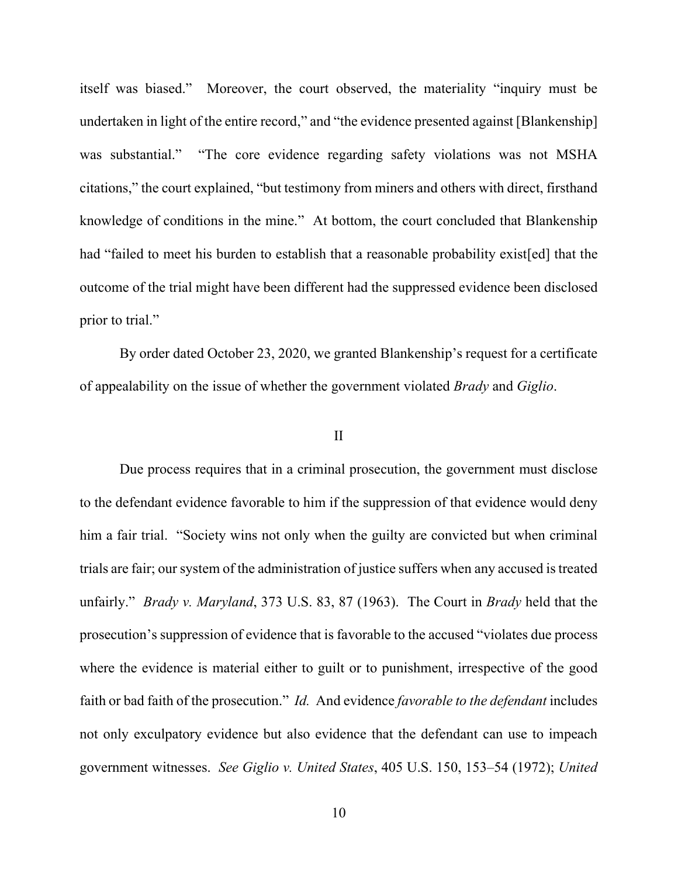itself was biased." Moreover, the court observed, the materiality "inquiry must be undertaken in light of the entire record," and "the evidence presented against [Blankenship] was substantial." "The core evidence regarding safety violations was not MSHA citations," the court explained, "but testimony from miners and others with direct, firsthand knowledge of conditions in the mine." At bottom, the court concluded that Blankenship had "failed to meet his burden to establish that a reasonable probability exist[ed] that the outcome of the trial might have been different had the suppressed evidence been disclosed prior to trial."

By order dated October 23, 2020, we granted Blankenship's request for a certificate of appealability on the issue of whether the government violated *Brady* and *Giglio*.

#### II

Due process requires that in a criminal prosecution, the government must disclose to the defendant evidence favorable to him if the suppression of that evidence would deny him a fair trial. "Society wins not only when the guilty are convicted but when criminal trials are fair; our system of the administration of justice suffers when any accused is treated unfairly." *Brady v. Maryland*, 373 U.S. 83, 87 (1963). The Court in *Brady* held that the prosecution's suppression of evidence that is favorable to the accused "violates due process where the evidence is material either to guilt or to punishment, irrespective of the good faith or bad faith of the prosecution." *Id.* And evidence *favorable to the defendant* includes not only exculpatory evidence but also evidence that the defendant can use to impeach government witnesses. *See Giglio v. United States*, 405 U.S. 150, 153–54 (1972); *United*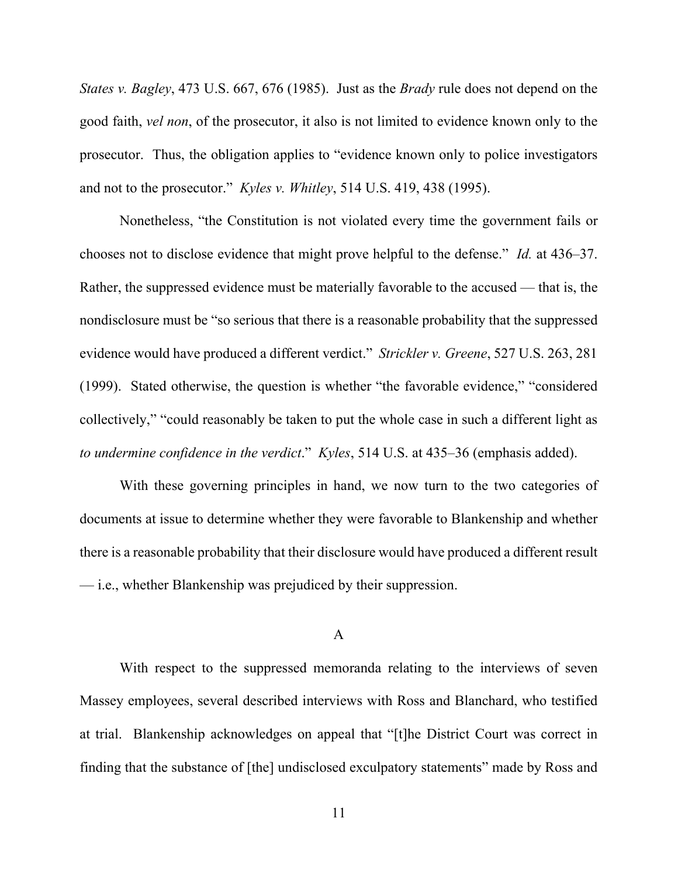*States v. Bagley*, 473 U.S. 667, 676 (1985). Just as the *Brady* rule does not depend on the good faith, *vel non*, of the prosecutor, it also is not limited to evidence known only to the prosecutor. Thus, the obligation applies to "evidence known only to police investigators and not to the prosecutor." *Kyles v. Whitley*, 514 U.S. 419, 438 (1995).

Nonetheless, "the Constitution is not violated every time the government fails or chooses not to disclose evidence that might prove helpful to the defense." *Id.* at 436–37. Rather, the suppressed evidence must be materially favorable to the accused — that is, the nondisclosure must be "so serious that there is a reasonable probability that the suppressed evidence would have produced a different verdict." *Strickler v. Greene*, 527 U.S. 263, 281 (1999). Stated otherwise, the question is whether "the favorable evidence," "considered collectively," "could reasonably be taken to put the whole case in such a different light as *to undermine confidence in the verdict*." *Kyles*, 514 U.S. at 435–36 (emphasis added).

With these governing principles in hand, we now turn to the two categories of documents at issue to determine whether they were favorable to Blankenship and whether there is a reasonable probability that their disclosure would have produced a different result — i.e., whether Blankenship was prejudiced by their suppression.

#### A

With respect to the suppressed memoranda relating to the interviews of seven Massey employees, several described interviews with Ross and Blanchard, who testified at trial. Blankenship acknowledges on appeal that "[t]he District Court was correct in finding that the substance of [the] undisclosed exculpatory statements" made by Ross and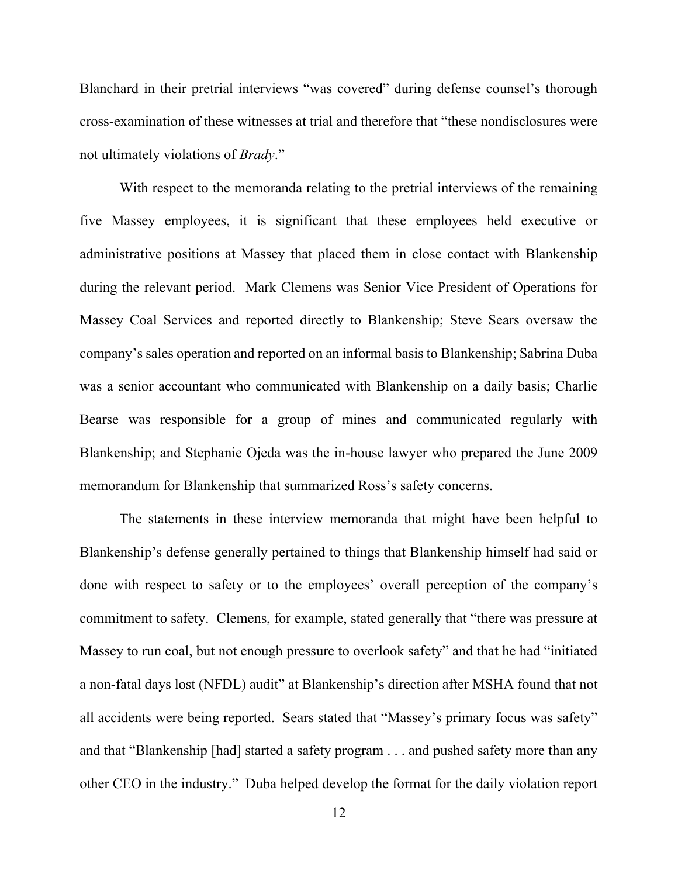Blanchard in their pretrial interviews "was covered" during defense counsel's thorough cross-examination of these witnesses at trial and therefore that "these nondisclosures were not ultimately violations of *Brady*."

With respect to the memoranda relating to the pretrial interviews of the remaining five Massey employees, it is significant that these employees held executive or administrative positions at Massey that placed them in close contact with Blankenship during the relevant period. Mark Clemens was Senior Vice President of Operations for Massey Coal Services and reported directly to Blankenship; Steve Sears oversaw the company's sales operation and reported on an informal basis to Blankenship; Sabrina Duba was a senior accountant who communicated with Blankenship on a daily basis; Charlie Bearse was responsible for a group of mines and communicated regularly with Blankenship; and Stephanie Ojeda was the in-house lawyer who prepared the June 2009 memorandum for Blankenship that summarized Ross's safety concerns.

The statements in these interview memoranda that might have been helpful to Blankenship's defense generally pertained to things that Blankenship himself had said or done with respect to safety or to the employees' overall perception of the company's commitment to safety. Clemens, for example, stated generally that "there was pressure at Massey to run coal, but not enough pressure to overlook safety" and that he had "initiated a non-fatal days lost (NFDL) audit" at Blankenship's direction after MSHA found that not all accidents were being reported. Sears stated that "Massey's primary focus was safety" and that "Blankenship [had] started a safety program . . . and pushed safety more than any other CEO in the industry." Duba helped develop the format for the daily violation report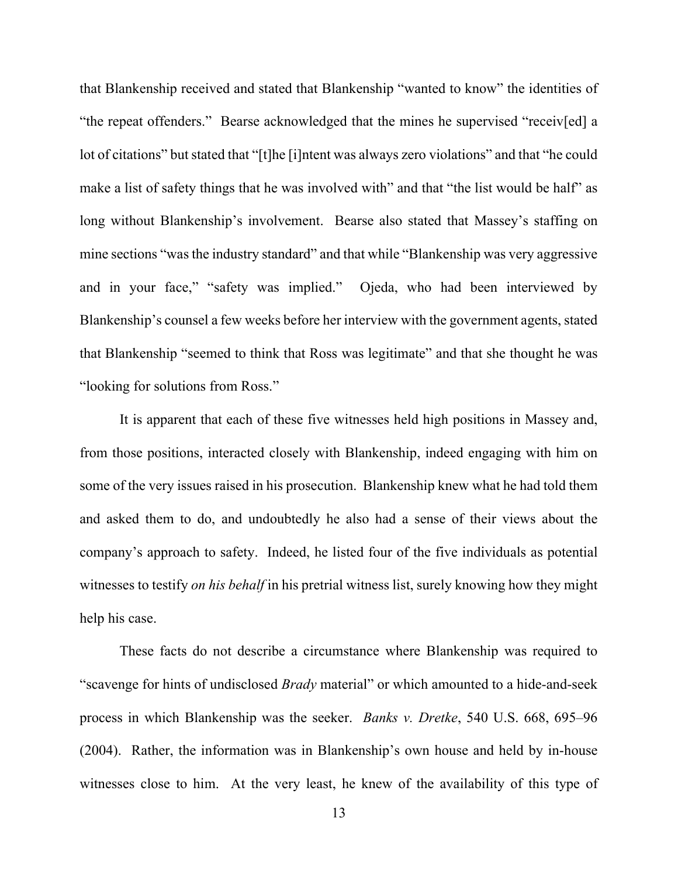that Blankenship received and stated that Blankenship "wanted to know" the identities of "the repeat offenders." Bearse acknowledged that the mines he supervised "receiv[ed] a lot of citations" but stated that "[t]he [i]ntent was always zero violations" and that "he could make a list of safety things that he was involved with" and that "the list would be half" as long without Blankenship's involvement. Bearse also stated that Massey's staffing on mine sections "was the industry standard" and that while "Blankenship was very aggressive and in your face," "safety was implied." Ojeda, who had been interviewed by Blankenship's counsel a few weeks before her interview with the government agents, stated that Blankenship "seemed to think that Ross was legitimate" and that she thought he was "looking for solutions from Ross."

It is apparent that each of these five witnesses held high positions in Massey and, from those positions, interacted closely with Blankenship, indeed engaging with him on some of the very issues raised in his prosecution. Blankenship knew what he had told them and asked them to do, and undoubtedly he also had a sense of their views about the company's approach to safety. Indeed, he listed four of the five individuals as potential witnesses to testify *on his behalf* in his pretrial witness list, surely knowing how they might help his case.

These facts do not describe a circumstance where Blankenship was required to "scavenge for hints of undisclosed *Brady* material" or which amounted to a hide-and-seek process in which Blankenship was the seeker. *Banks v. Dretke*, 540 U.S. 668, 695–96 (2004). Rather, the information was in Blankenship's own house and held by in-house witnesses close to him. At the very least, he knew of the availability of this type of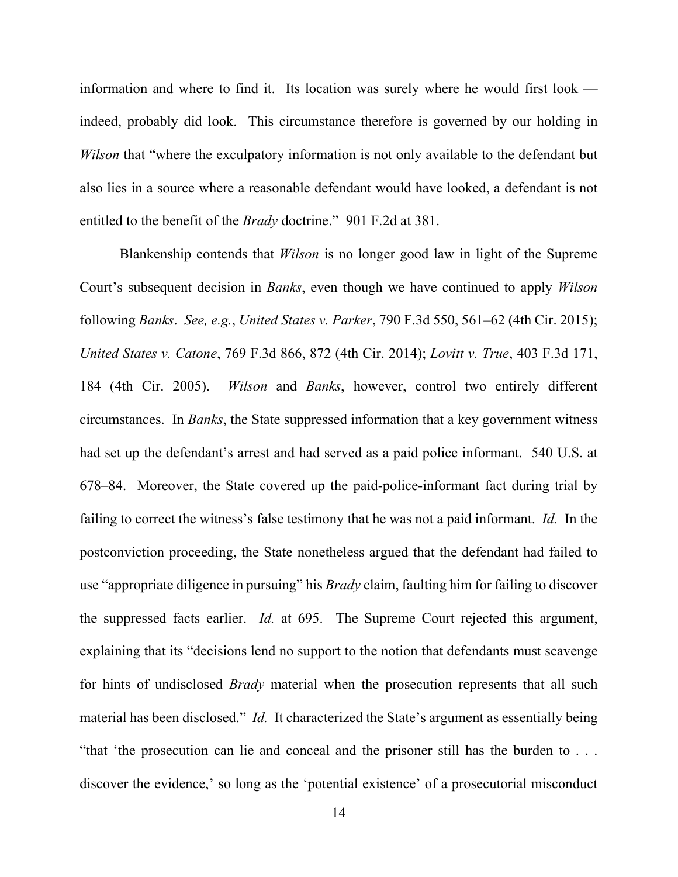information and where to find it. Its location was surely where he would first look indeed, probably did look. This circumstance therefore is governed by our holding in *Wilson* that "where the exculpatory information is not only available to the defendant but also lies in a source where a reasonable defendant would have looked, a defendant is not entitled to the benefit of the *Brady* doctrine." 901 F.2d at 381.

Blankenship contends that *Wilson* is no longer good law in light of the Supreme Court's subsequent decision in *Banks*, even though we have continued to apply *Wilson* following *Banks*. *See, e.g.*, *United States v. Parker*, 790 F.3d 550, 561–62 (4th Cir. 2015); *United States v. Catone*, 769 F.3d 866, 872 (4th Cir. 2014); *Lovitt v. True*, 403 F.3d 171, 184 (4th Cir. 2005). *Wilson* and *Banks*, however, control two entirely different circumstances. In *Banks*, the State suppressed information that a key government witness had set up the defendant's arrest and had served as a paid police informant. 540 U.S. at 678–84. Moreover, the State covered up the paid-police-informant fact during trial by failing to correct the witness's false testimony that he was not a paid informant. *Id.* In the postconviction proceeding, the State nonetheless argued that the defendant had failed to use "appropriate diligence in pursuing" his *Brady* claim, faulting him for failing to discover the suppressed facts earlier. *Id.* at 695. The Supreme Court rejected this argument, explaining that its "decisions lend no support to the notion that defendants must scavenge for hints of undisclosed *Brady* material when the prosecution represents that all such material has been disclosed." *Id.* It characterized the State's argument as essentially being "that 'the prosecution can lie and conceal and the prisoner still has the burden to . . . discover the evidence,' so long as the 'potential existence' of a prosecutorial misconduct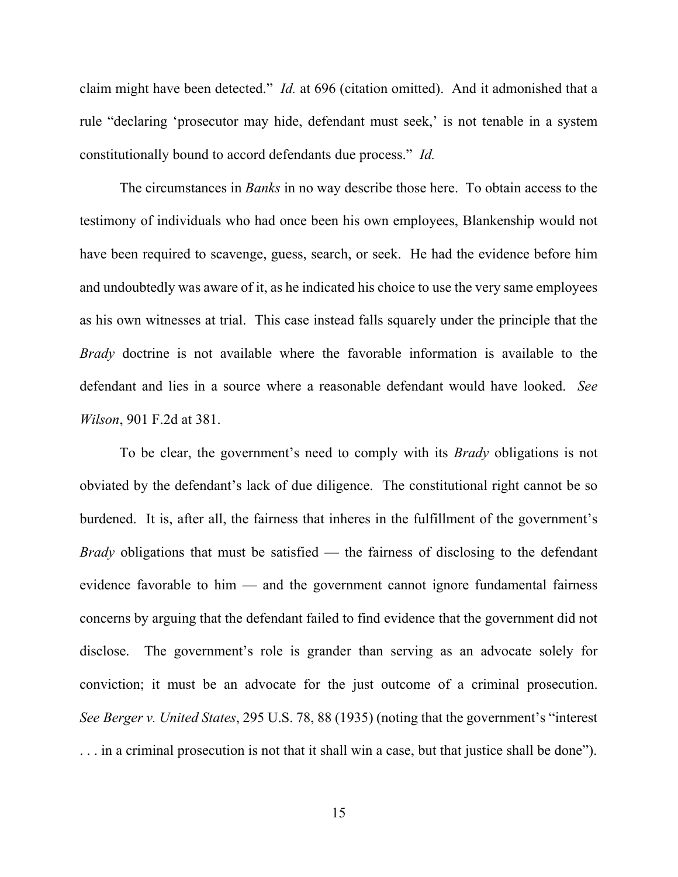claim might have been detected." *Id.* at 696 (citation omitted). And it admonished that a rule "declaring 'prosecutor may hide, defendant must seek,' is not tenable in a system constitutionally bound to accord defendants due process." *Id.*

The circumstances in *Banks* in no way describe those here. To obtain access to the testimony of individuals who had once been his own employees, Blankenship would not have been required to scavenge, guess, search, or seek. He had the evidence before him and undoubtedly was aware of it, as he indicated his choice to use the very same employees as his own witnesses at trial. This case instead falls squarely under the principle that the *Brady* doctrine is not available where the favorable information is available to the defendant and lies in a source where a reasonable defendant would have looked. *See Wilson*, 901 F.2d at 381.

To be clear, the government's need to comply with its *Brady* obligations is not obviated by the defendant's lack of due diligence. The constitutional right cannot be so burdened. It is, after all, the fairness that inheres in the fulfillment of the government's *Brady* obligations that must be satisfied — the fairness of disclosing to the defendant evidence favorable to him — and the government cannot ignore fundamental fairness concerns by arguing that the defendant failed to find evidence that the government did not disclose. The government's role is grander than serving as an advocate solely for conviction; it must be an advocate for the just outcome of a criminal prosecution. *See Berger v. United States*, 295 U.S. 78, 88 (1935) (noting that the government's "interest . . . in a criminal prosecution is not that it shall win a case, but that justice shall be done").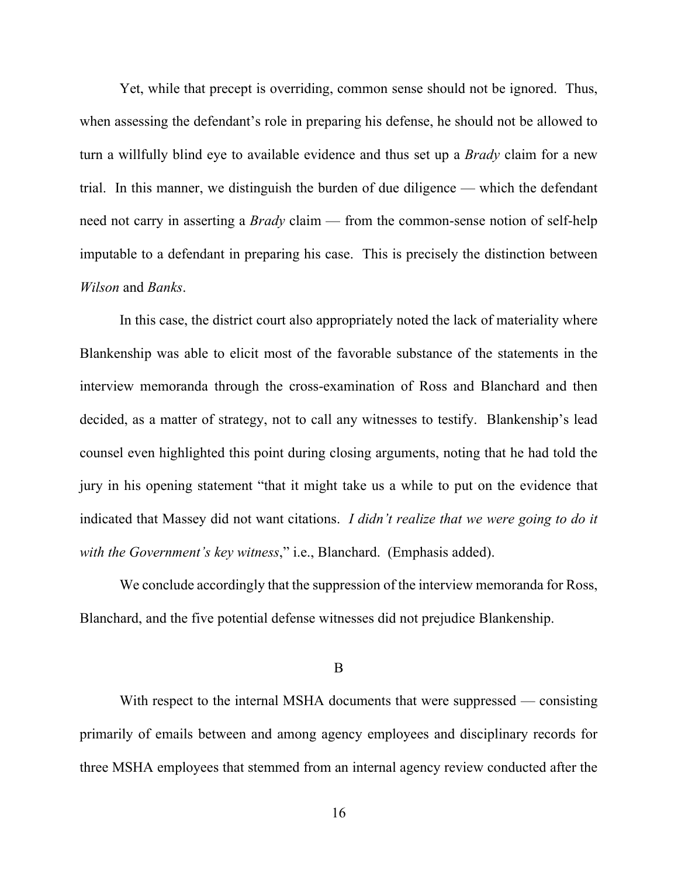Yet, while that precept is overriding, common sense should not be ignored. Thus, when assessing the defendant's role in preparing his defense, he should not be allowed to turn a willfully blind eye to available evidence and thus set up a *Brady* claim for a new trial. In this manner, we distinguish the burden of due diligence — which the defendant need not carry in asserting a *Brady* claim — from the common-sense notion of self-help imputable to a defendant in preparing his case. This is precisely the distinction between *Wilson* and *Banks*.

In this case, the district court also appropriately noted the lack of materiality where Blankenship was able to elicit most of the favorable substance of the statements in the interview memoranda through the cross-examination of Ross and Blanchard and then decided, as a matter of strategy, not to call any witnesses to testify. Blankenship's lead counsel even highlighted this point during closing arguments, noting that he had told the jury in his opening statement "that it might take us a while to put on the evidence that indicated that Massey did not want citations. *I didn't realize that we were going to do it with the Government's key witness*," i.e., Blanchard. (Emphasis added).

We conclude accordingly that the suppression of the interview memoranda for Ross, Blanchard, and the five potential defense witnesses did not prejudice Blankenship.

B

With respect to the internal MSHA documents that were suppressed — consisting primarily of emails between and among agency employees and disciplinary records for three MSHA employees that stemmed from an internal agency review conducted after the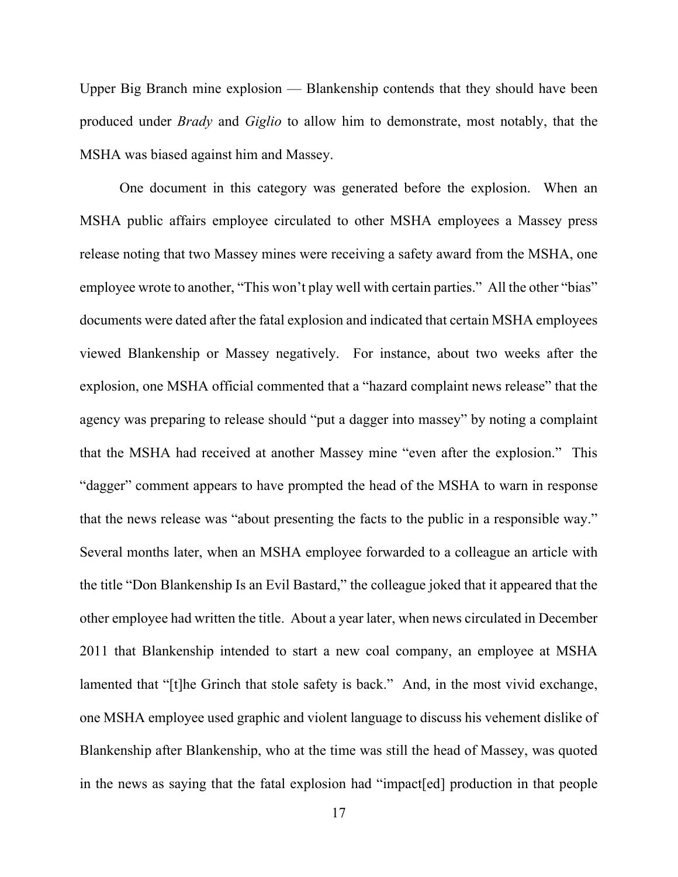Upper Big Branch mine explosion — Blankenship contends that they should have been produced under *Brady* and *Giglio* to allow him to demonstrate, most notably, that the MSHA was biased against him and Massey.

One document in this category was generated before the explosion. When an MSHA public affairs employee circulated to other MSHA employees a Massey press release noting that two Massey mines were receiving a safety award from the MSHA, one employee wrote to another, "This won't play well with certain parties." All the other "bias" documents were dated after the fatal explosion and indicated that certain MSHA employees viewed Blankenship or Massey negatively. For instance, about two weeks after the explosion, one MSHA official commented that a "hazard complaint news release" that the agency was preparing to release should "put a dagger into massey" by noting a complaint that the MSHA had received at another Massey mine "even after the explosion." This "dagger" comment appears to have prompted the head of the MSHA to warn in response that the news release was "about presenting the facts to the public in a responsible way." Several months later, when an MSHA employee forwarded to a colleague an article with the title "Don Blankenship Is an Evil Bastard," the colleague joked that it appeared that the other employee had written the title. About a year later, when news circulated in December 2011 that Blankenship intended to start a new coal company, an employee at MSHA lamented that "[t]he Grinch that stole safety is back." And, in the most vivid exchange, one MSHA employee used graphic and violent language to discuss his vehement dislike of Blankenship after Blankenship, who at the time was still the head of Massey, was quoted in the news as saying that the fatal explosion had "impact[ed] production in that people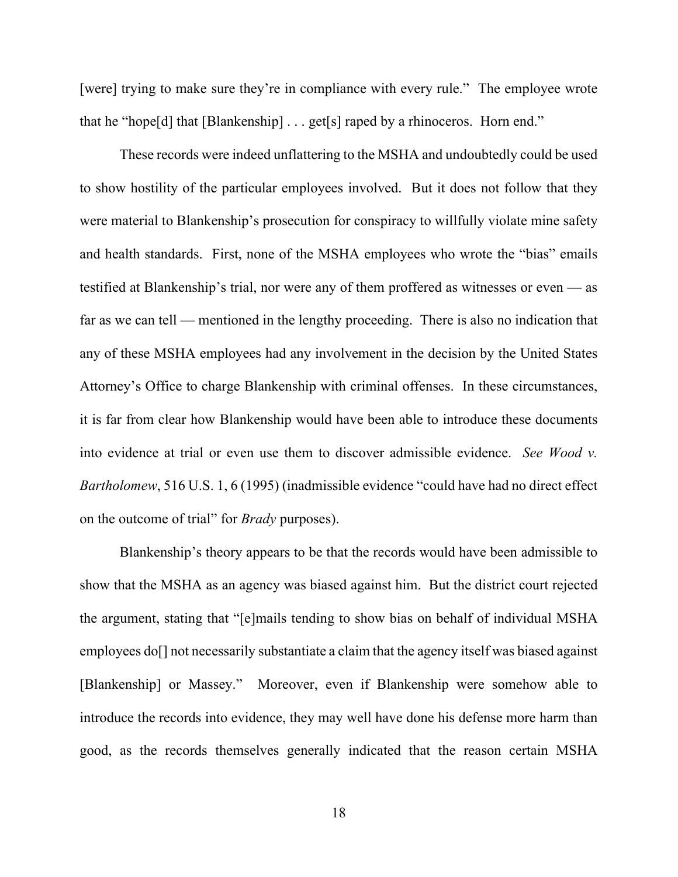[were] trying to make sure they're in compliance with every rule." The employee wrote that he "hope[d] that  $[Blankenship] \dots get[s]$  raped by a rhinoceros. Horn end."

These records were indeed unflattering to the MSHA and undoubtedly could be used to show hostility of the particular employees involved. But it does not follow that they were material to Blankenship's prosecution for conspiracy to willfully violate mine safety and health standards. First, none of the MSHA employees who wrote the "bias" emails testified at Blankenship's trial, nor were any of them proffered as witnesses or even — as far as we can tell — mentioned in the lengthy proceeding. There is also no indication that any of these MSHA employees had any involvement in the decision by the United States Attorney's Office to charge Blankenship with criminal offenses. In these circumstances, it is far from clear how Blankenship would have been able to introduce these documents into evidence at trial or even use them to discover admissible evidence. *See Wood v. Bartholomew*, 516 U.S. 1, 6 (1995) (inadmissible evidence "could have had no direct effect on the outcome of trial" for *Brady* purposes).

Blankenship's theory appears to be that the records would have been admissible to show that the MSHA as an agency was biased against him. But the district court rejected the argument, stating that "[e]mails tending to show bias on behalf of individual MSHA employees do<sup>[]</sup> not necessarily substantiate a claim that the agency itself was biased against [Blankenship] or Massey." Moreover, even if Blankenship were somehow able to introduce the records into evidence, they may well have done his defense more harm than good, as the records themselves generally indicated that the reason certain MSHA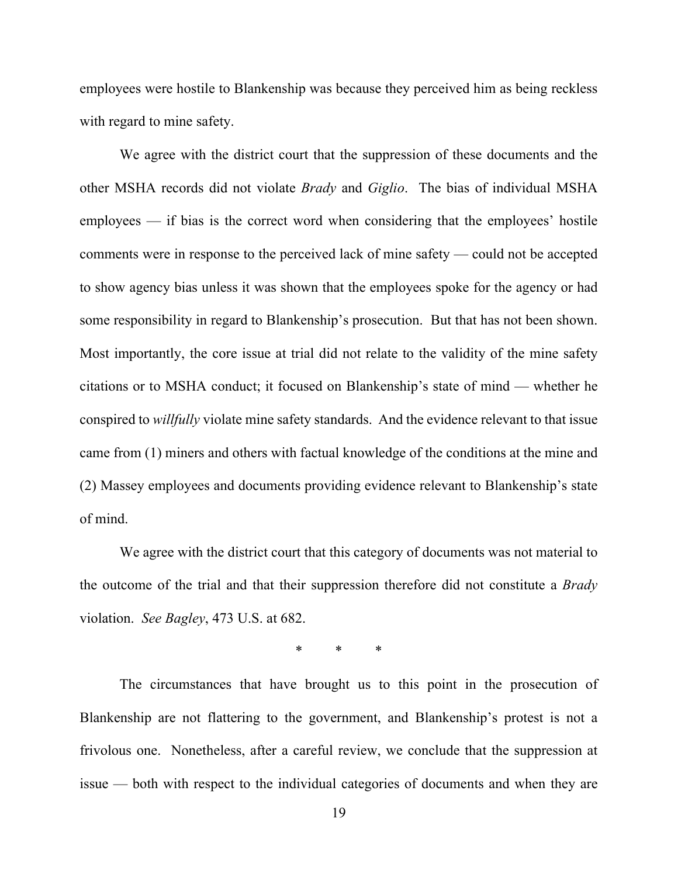employees were hostile to Blankenship was because they perceived him as being reckless with regard to mine safety.

We agree with the district court that the suppression of these documents and the other MSHA records did not violate *Brady* and *Giglio*. The bias of individual MSHA employees — if bias is the correct word when considering that the employees' hostile comments were in response to the perceived lack of mine safety — could not be accepted to show agency bias unless it was shown that the employees spoke for the agency or had some responsibility in regard to Blankenship's prosecution. But that has not been shown. Most importantly, the core issue at trial did not relate to the validity of the mine safety citations or to MSHA conduct; it focused on Blankenship's state of mind — whether he conspired to *willfully* violate mine safety standards. And the evidence relevant to that issue came from (1) miners and others with factual knowledge of the conditions at the mine and (2) Massey employees and documents providing evidence relevant to Blankenship's state of mind.

We agree with the district court that this category of documents was not material to the outcome of the trial and that their suppression therefore did not constitute a *Brady* violation. *See Bagley*, 473 U.S. at 682.

\* \* \*

The circumstances that have brought us to this point in the prosecution of Blankenship are not flattering to the government, and Blankenship's protest is not a frivolous one. Nonetheless, after a careful review, we conclude that the suppression at issue — both with respect to the individual categories of documents and when they are